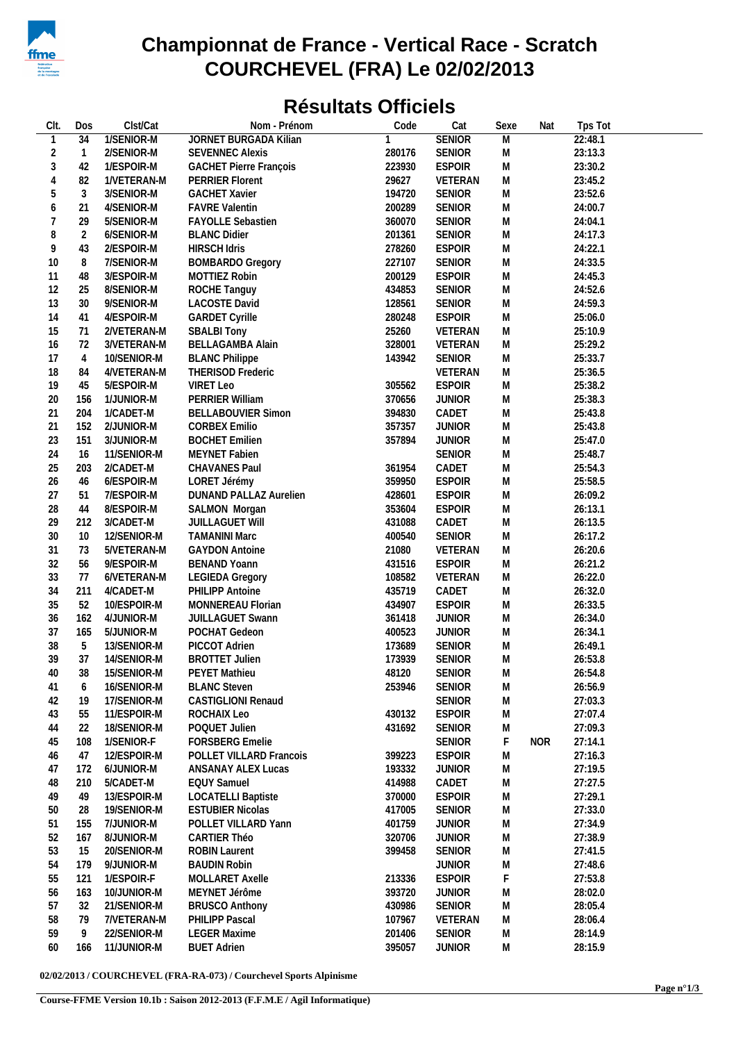

## **Championnat de France - Vertical Race - Scratch COURCHEVEL (FRA) Le 02/02/2013**

## **Résultats Officiels**

| CIt.         | Dos            | Clst/Cat                 | Nom - Prénom                         | Code             | Cat           | Sexe           | Nat        | Tps Tot            |  |
|--------------|----------------|--------------------------|--------------------------------------|------------------|---------------|----------------|------------|--------------------|--|
| $\mathbf{1}$ | 34             | 1/SENIOR-M               | JORNET BURGADA Kilian                | 1                | <b>SENIOR</b> | $\overline{M}$ |            | 22:48.1            |  |
| 2            | $\overline{1}$ | 2/SENIOR-M               | <b>SEVENNEC Alexis</b>               | 280176           | <b>SENIOR</b> | M              |            | 23:13.3            |  |
| 3            | 42             | 1/ESPOIR-M               | <b>GACHET Pierre François</b>        | 223930           | <b>ESPOIR</b> | M              |            | 23:30.2            |  |
| 4            | 82             | 1/VETERAN-M              | PERRIER Florent                      | 29627            | VETERAN       | M              |            | 23:45.2            |  |
| 5            | 3              | 3/SENIOR-M               | <b>GACHET Xavier</b>                 | 194720           | <b>SENIOR</b> | M              |            | 23:52.6            |  |
| 6            | 21             | 4/SENIOR-M               | <b>FAVRE Valentin</b>                | 200289           | SENIOR        | M              |            | 24:00.7            |  |
| 7            | 29             | 5/SENIOR-M               | FAYOLLE Sebastien                    | 360070           | <b>SENIOR</b> | M              |            | 24:04.1            |  |
| 8            | 2              | 6/SENIOR-M               | <b>BLANC Didier</b>                  | 201361           | <b>SENIOR</b> | M              |            | 24:17.3            |  |
| 9            | 43             | 2/ESPOIR-M               | <b>HIRSCH Idris</b>                  | 278260           | <b>ESPOIR</b> | M              |            | 24:22.1            |  |
| 10           | 8              | 7/SENIOR-M               | <b>BOMBARDO Gregory</b>              | 227107           | <b>SENIOR</b> | M              |            | 24:33.5            |  |
|              |                |                          |                                      |                  | <b>ESPOIR</b> |                |            |                    |  |
| 11<br>12     | 48<br>25       | 3/ESPOIR-M               | MOTTIEZ Robin                        | 200129<br>434853 | <b>SENIOR</b> | M<br>M         |            | 24:45.3<br>24:52.6 |  |
| 13           | 30             | 8/SENIOR-M<br>9/SENIOR-M | ROCHE Tanguy<br><b>LACOSTE David</b> | 128561           | <b>SENIOR</b> | M              |            | 24:59.3            |  |
|              |                |                          |                                      |                  |               |                |            |                    |  |
| 14           | 41             | 4/ESPOIR-M               | <b>GARDET Cyrille</b>                | 280248           | <b>ESPOIR</b> | M              |            | 25:06.0            |  |
| 15           | 71             | 2/VETERAN-M              | <b>SBALBI Tony</b>                   | 25260            | VETERAN       | M              |            | 25:10.9            |  |
| 16           | 72             | 3/VETERAN-M              | BELLAGAMBA Alain                     | 328001           | VETERAN       | M              |            | 25:29.2            |  |
| 17           | 4              | 10/SENIOR-M              | <b>BLANC Philippe</b>                | 143942           | <b>SENIOR</b> | M              |            | 25:33.7            |  |
| 18           | 84             | 4/VETERAN-M              | THERISOD Frederic                    |                  | VETERAN       | M              |            | 25:36.5            |  |
| 19           | 45             | 5/ESPOIR-M               | VIRET Leo                            | 305562           | <b>ESPOIR</b> | M              |            | 25:38.2            |  |
| 20           | 156            | 1/JUNIOR-M               | PERRIER William                      | 370656           | <b>JUNIOR</b> | M              |            | 25:38.3            |  |
| 21           | 204            | 1/CADET-M                | <b>BELLABOUVIER Simon</b>            | 394830           | CADET         | M              |            | 25:43.8            |  |
| 21           | 152            | 2/JUNIOR-M               | <b>CORBEX Emilio</b>                 | 357357           | <b>JUNIOR</b> | M              |            | 25:43.8            |  |
| 23           | 151            | 3/JUNIOR-M               | <b>BOCHET Emilien</b>                | 357894           | <b>JUNIOR</b> | M              |            | 25:47.0            |  |
| 24           | 16             | 11/SENIOR-M              | MEYNET Fabien                        |                  | <b>SENIOR</b> | M              |            | 25:48.7            |  |
| 25           | 203            | 2/CADET-M                | CHAVANES Paul                        | 361954           | CADET         | M              |            | 25:54.3            |  |
| 26           | 46             | 6/ESPOIR-M               | LORET Jérémy                         | 359950           | <b>ESPOIR</b> | M              |            | 25:58.5            |  |
| 27           | 51             | 7/ESPOIR-M               | DUNAND PALLAZ Aurelien               | 428601           | <b>ESPOIR</b> | M              |            | 26:09.2            |  |
| 28           | 44             | 8/ESPOIR-M               | SALMON Morgan                        | 353604           | <b>ESPOIR</b> | M              |            | 26:13.1            |  |
| 29           | 212            | 3/CADET-M                | JUILLAGUET Will                      | 431088           | CADET         | M              |            | 26:13.5            |  |
| 30           | 10             | 12/SENIOR-M              | <b>TAMANINI Marc</b>                 | 400540           | <b>SENIOR</b> | M              |            | 26:17.2            |  |
| 31           | 73             | 5/VETERAN-M              | <b>GAYDON Antoine</b>                | 21080            | VETERAN       | M              |            | 26:20.6            |  |
| 32           | 56             | 9/ESPOIR-M               | <b>BENAND Yoann</b>                  | 431516           | <b>ESPOIR</b> | M              |            | 26:21.2            |  |
| 33           | 77             | 6/VETERAN-M              | <b>LEGIEDA Gregory</b>               | 108582           | VETERAN       | M              |            | 26:22.0            |  |
| 34           | 211            | 4/CADET-M                | PHILIPP Antoine                      | 435719           | CADET         | M              |            | 26:32.0            |  |
| 35           | 52             | 10/ESPOIR-M              | MONNEREAU Florian                    | 434907           | <b>ESPOIR</b> | M              |            | 26:33.5            |  |
| 36           | 162            | 4/JUNIOR-M               | <b>JUILLAGUET Swann</b>              | 361418           | <b>JUNIOR</b> | M              |            | 26:34.0            |  |
|              |                |                          |                                      |                  |               |                |            |                    |  |
| 37           | 165            | 5/JUNIOR-M               | POCHAT Gedeon                        | 400523           | <b>JUNIOR</b> | M              |            | 26:34.1            |  |
| 38           | 5              | 13/SENIOR-M              | PICCOT Adrien                        | 173689           | <b>SENIOR</b> | M              |            | 26:49.1            |  |
| 39           | 37             | 14/SENIOR-M              | <b>BROTTET Julien</b>                | 173939           | <b>SENIOR</b> | M              |            | 26:53.8            |  |
| 40           | 38             | 15/SENIOR-M              | PEYET Mathieu                        | 48120            | SENIOR        | M              |            | 26:54.8            |  |
| 41           | 6              | 16/SENIOR-M              | <b>BLANC Steven</b>                  | 253946           | <b>SENIOR</b> | M              |            | 26:56.9            |  |
| 42           | 19             | 17/SENIOR-M              | <b>CASTIGLIONI Renaud</b>            |                  | <b>SENIOR</b> | M              |            | 27:03.3            |  |
| 43           | 55             | 11/ESPOIR-M              | ROCHAIX Leo                          | 430132           | <b>ESPOIR</b> | M              |            | 27:07.4            |  |
| 44           | 22             | 18/SENIOR-M              | POQUET Julien                        | 431692           | <b>SENIOR</b> | M              |            | 27:09.3            |  |
| 45           | 108            | 1/SENIOR-F               | <b>FORSBERG Emelie</b>               |                  | <b>SENIOR</b> | F              | <b>NOR</b> | 27:14.1            |  |
| 46           | 47             | 12/ESPOIR-M              | POLLET VILLARD Francois              | 399223           | <b>ESPOIR</b> | M              |            | 27:16.3            |  |
| 47           | 172            | 6/JUNIOR-M               | ANSANAY ALEX Lucas                   | 193332           | <b>JUNIOR</b> | M              |            | 27:19.5            |  |
| 48           | 210            | 5/CADET-M                | <b>EQUY Samuel</b>                   | 414988           | CADET         | M              |            | 27:27.5            |  |
| 49           | 49             | 13/ESPOIR-M              | <b>LOCATELLI Baptiste</b>            | 370000           | <b>ESPOIR</b> | M              |            | 27:29.1            |  |
| 50           | 28             | 19/SENIOR-M              | <b>ESTUBIER Nicolas</b>              | 417005           | <b>SENIOR</b> | M              |            | 27:33.0            |  |
| 51           | 155            | 7/JUNIOR-M               | POLLET VILLARD Yann                  | 401759           | <b>JUNIOR</b> | M              |            | 27:34.9            |  |
| 52           | 167            | 8/JUNIOR-M               | CARTIER Théo                         | 320706           | <b>JUNIOR</b> | M              |            | 27:38.9            |  |
| 53           | 15             | 20/SENIOR-M              | <b>ROBIN Laurent</b>                 | 399458           | <b>SENIOR</b> | M              |            | 27:41.5            |  |
| 54           | 179            | 9/JUNIOR-M               | <b>BAUDIN Robin</b>                  |                  | <b>JUNIOR</b> | M              |            | 27:48.6            |  |
| 55           | 121            | 1/ESPOIR-F               | MOLLARET Axelle                      | 213336           | <b>ESPOIR</b> | F              |            | 27:53.8            |  |
| 56           | 163            | 10/JUNIOR-M              | MEYNET Jérôme                        | 393720           | <b>JUNIOR</b> | M              |            | 28:02.0            |  |
| 57           | 32             |                          |                                      |                  | <b>SENIOR</b> |                |            |                    |  |
|              |                | 21/SENIOR-M              | <b>BRUSCO Anthony</b>                | 430986           |               | M              |            | 28:05.4            |  |
| 58           | 79             | 7/VETERAN-M              | PHILIPP Pascal                       | 107967           | VETERAN       | M              |            | 28:06.4            |  |
| 59           | 9              | 22/SENIOR-M              | <b>LEGER Maxime</b>                  | 201406           | <b>SENIOR</b> | M              |            | 28:14.9            |  |
| 60           | 166            | 11/JUNIOR-M              | <b>BUET Adrien</b>                   | 395057           | <b>JUNIOR</b> | M              |            | 28:15.9            |  |

**02/02/2013 / COURCHEVEL (FRA-RA-073) / Courchevel Sports Alpinisme**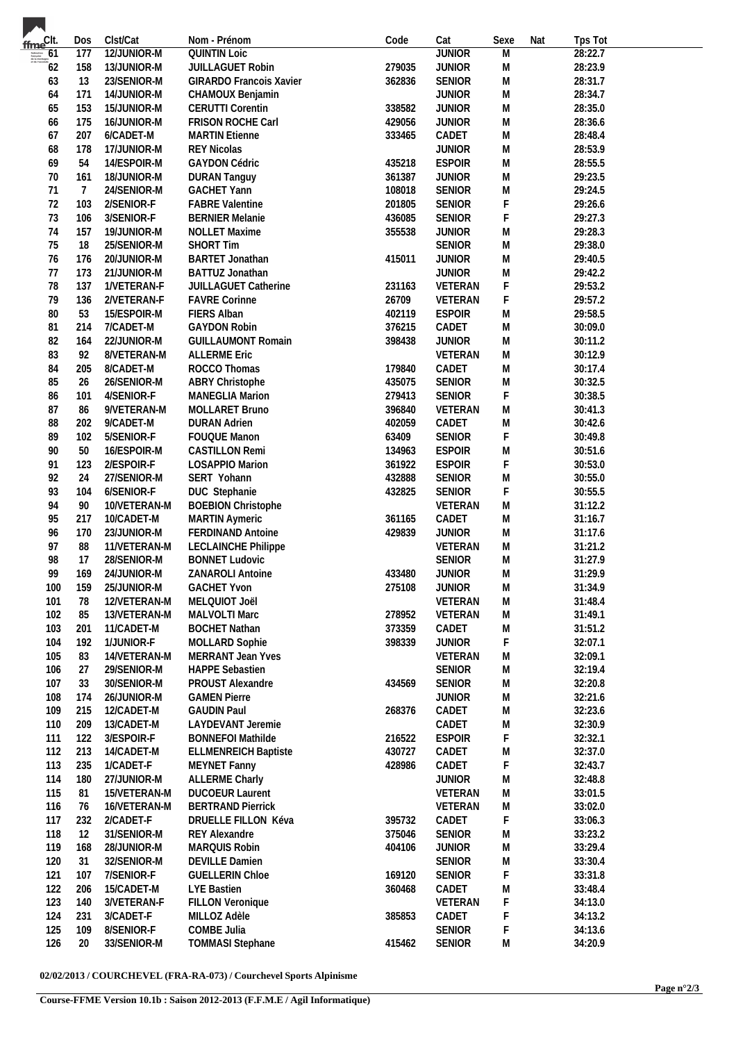| fme <sup>Clt.</sup>                                                                                                                                                                                                                                                                                                                                                                                                                                                                              | Dos            | Clst/Cat     | Nom - Prénom                | Code   | Cat           | Sexe           | Nat | Tps Tot |  |
|--------------------------------------------------------------------------------------------------------------------------------------------------------------------------------------------------------------------------------------------------------------------------------------------------------------------------------------------------------------------------------------------------------------------------------------------------------------------------------------------------|----------------|--------------|-----------------------------|--------|---------------|----------------|-----|---------|--|
| $\overbrace{ \begin{array}{l} \text{tif\: of } \\ \text{trapegation} \\ \text{d}t \text{ is metegars} \\ \text{et de } \text{f } \text{encifage} \end{array}}^{\text{tif: of } \\ \text{tif } \text{f } \text{tif } \text{c} \text{incif } \text{f } \text{c} \text{incif } \text{f } \text{c} \text{incif } \text{f } \text{c} \text{incif } \text{f } \text{incif } \text{f } \text{incif } \text{f } \text{incif } \text{f } \text{incif } \text{f } \text{incif } \text{f } \text{incif } \$ | 177            | 12/JUNIOR-M  | <b>QUINTIN Loic</b>         |        | <b>JUNIOR</b> | $\overline{M}$ |     | 28:22.7 |  |
| - 62                                                                                                                                                                                                                                                                                                                                                                                                                                                                                             | 158            | 13/JUNIOR-M  | JUILLAGUET Robin            | 279035 | <b>JUNIOR</b> | Μ              |     | 28:23.9 |  |
| 63                                                                                                                                                                                                                                                                                                                                                                                                                                                                                               | 13             | 23/SENIOR-M  | GIRARDO Francois Xavier     | 362836 | SENIOR        | M              |     | 28:31.7 |  |
| 64                                                                                                                                                                                                                                                                                                                                                                                                                                                                                               | 171            | 14/JUNIOR-M  | CHAMOUX Benjamin            |        | <b>JUNIOR</b> | M              |     | 28:34.7 |  |
| 65                                                                                                                                                                                                                                                                                                                                                                                                                                                                                               | 153            | 15/JUNIOR-M  | <b>CERUTTI Corentin</b>     | 338582 | <b>JUNIOR</b> | M              |     | 28:35.0 |  |
| 66                                                                                                                                                                                                                                                                                                                                                                                                                                                                                               | 175            | 16/JUNIOR-M  | FRISON ROCHE Carl           | 429056 | <b>JUNIOR</b> | Μ              |     | 28:36.6 |  |
| 67                                                                                                                                                                                                                                                                                                                                                                                                                                                                                               | 207            | 6/CADET-M    | <b>MARTIN Etienne</b>       | 333465 | CADET         | Μ              |     | 28:48.4 |  |
| 68                                                                                                                                                                                                                                                                                                                                                                                                                                                                                               | 178            | 17/JUNIOR-M  | <b>REY Nicolas</b>          |        | <b>JUNIOR</b> | Μ              |     | 28:53.9 |  |
| 69                                                                                                                                                                                                                                                                                                                                                                                                                                                                                               | 54             | 14/ESPOIR-M  | <b>GAYDON Cédric</b>        | 435218 | <b>ESPOIR</b> | M              |     | 28:55.5 |  |
|                                                                                                                                                                                                                                                                                                                                                                                                                                                                                                  |                |              |                             |        |               |                |     |         |  |
| 70                                                                                                                                                                                                                                                                                                                                                                                                                                                                                               | 161            | 18/JUNIOR-M  | <b>DURAN Tanguy</b>         | 361387 | <b>JUNIOR</b> | M              |     | 29:23.5 |  |
| 71                                                                                                                                                                                                                                                                                                                                                                                                                                                                                               | $\overline{7}$ | 24/SENIOR-M  | <b>GACHET Yann</b>          | 108018 | SENIOR        | M              |     | 29:24.5 |  |
| 72                                                                                                                                                                                                                                                                                                                                                                                                                                                                                               | 103            | 2/SENIOR-F   | <b>FABRE Valentine</b>      | 201805 | SENIOR        | F              |     | 29:26.6 |  |
| 73                                                                                                                                                                                                                                                                                                                                                                                                                                                                                               | 106            | 3/SENIOR-F   | <b>BERNIER Melanie</b>      | 436085 | SENIOR        | F              |     | 29:27.3 |  |
| 74                                                                                                                                                                                                                                                                                                                                                                                                                                                                                               | 157            | 19/JUNIOR-M  | <b>NOLLET Maxime</b>        | 355538 | <b>JUNIOR</b> | М              |     | 29:28.3 |  |
| 75                                                                                                                                                                                                                                                                                                                                                                                                                                                                                               | 18             | 25/SENIOR-M  | <b>SHORT Tim</b>            |        | SENIOR        | M              |     | 29:38.0 |  |
| 76                                                                                                                                                                                                                                                                                                                                                                                                                                                                                               | 176            | 20/JUNIOR-M  | <b>BARTET Jonathan</b>      | 415011 | <b>JUNIOR</b> | M              |     | 29:40.5 |  |
| 77                                                                                                                                                                                                                                                                                                                                                                                                                                                                                               | 173            | 21/JUNIOR-M  | BATTUZ Jonathan             |        | <b>JUNIOR</b> | M              |     | 29:42.2 |  |
| 78                                                                                                                                                                                                                                                                                                                                                                                                                                                                                               | 137            | 1/VETERAN-F  | JUILLAGUET Catherine        | 231163 | VETERAN       | F              |     | 29:53.2 |  |
| 79                                                                                                                                                                                                                                                                                                                                                                                                                                                                                               | 136            | 2/VETERAN-F  | <b>FAVRE Corinne</b>        | 26709  | VETERAN       | F              |     | 29:57.2 |  |
| 80                                                                                                                                                                                                                                                                                                                                                                                                                                                                                               | 53             | 15/ESPOIR-M  | FIERS Alban                 | 402119 | <b>ESPOIR</b> | Μ              |     | 29:58.5 |  |
| 81                                                                                                                                                                                                                                                                                                                                                                                                                                                                                               | 214            | 7/CADET-M    | <b>GAYDON Robin</b>         | 376215 | CADET         | Μ              |     | 30:09.0 |  |
| 82                                                                                                                                                                                                                                                                                                                                                                                                                                                                                               | 164            | 22/JUNIOR-M  | <b>GUILLAUMONT Romain</b>   | 398438 | <b>JUNIOR</b> | M              |     | 30:11.2 |  |
| 83                                                                                                                                                                                                                                                                                                                                                                                                                                                                                               | 92             | 8/VETERAN-M  | <b>ALLERME Eric</b>         |        | VETERAN       | ${\sf M}$      |     | 30:12.9 |  |
|                                                                                                                                                                                                                                                                                                                                                                                                                                                                                                  |                |              |                             |        |               |                |     |         |  |
| 84                                                                                                                                                                                                                                                                                                                                                                                                                                                                                               | 205            | 8/CADET-M    | ROCCO Thomas                | 179840 | CADET         | M              |     | 30:17.4 |  |
| 85                                                                                                                                                                                                                                                                                                                                                                                                                                                                                               | 26             | 26/SENIOR-M  | ABRY Christophe             | 435075 | SENIOR        | Μ              |     | 30:32.5 |  |
| 86                                                                                                                                                                                                                                                                                                                                                                                                                                                                                               | 101            | 4/SENIOR-F   | MANEGLIA Marion             | 279413 | SENIOR        | F              |     | 30:38.5 |  |
| 87                                                                                                                                                                                                                                                                                                                                                                                                                                                                                               | 86             | 9/VETERAN-M  | MOLLARET Bruno              | 396840 | VETERAN       | M              |     | 30:41.3 |  |
| 88                                                                                                                                                                                                                                                                                                                                                                                                                                                                                               | 202            | 9/CADET-M    | <b>DURAN Adrien</b>         | 402059 | CADET         | M              |     | 30:42.6 |  |
| 89                                                                                                                                                                                                                                                                                                                                                                                                                                                                                               | 102            | 5/SENIOR-F   | FOUQUE Manon                | 63409  | SENIOR        | F              |     | 30:49.8 |  |
| 90                                                                                                                                                                                                                                                                                                                                                                                                                                                                                               | 50             | 16/ESPOIR-M  | <b>CASTILLON Remi</b>       | 134963 | <b>ESPOIR</b> | M              |     | 30:51.6 |  |
| 91                                                                                                                                                                                                                                                                                                                                                                                                                                                                                               | 123            | 2/ESPOIR-F   | <b>LOSAPPIO Marion</b>      | 361922 | <b>ESPOIR</b> | F              |     | 30:53.0 |  |
| 92                                                                                                                                                                                                                                                                                                                                                                                                                                                                                               | 24             | 27/SENIOR-M  | SERT Yohann                 | 432888 | SENIOR        | Μ              |     | 30:55.0 |  |
| 93                                                                                                                                                                                                                                                                                                                                                                                                                                                                                               | 104            | 6/SENIOR-F   | DUC Stephanie               | 432825 | SENIOR        | F              |     | 30:55.5 |  |
| 94                                                                                                                                                                                                                                                                                                                                                                                                                                                                                               | 90             | 10/VETERAN-M | <b>BOEBION Christophe</b>   |        | VETERAN       | M              |     | 31:12.2 |  |
| 95                                                                                                                                                                                                                                                                                                                                                                                                                                                                                               | 217            | 10/CADET-M   | MARTIN Aymeric              | 361165 | CADET         | Μ              |     | 31:16.7 |  |
| 96                                                                                                                                                                                                                                                                                                                                                                                                                                                                                               | 170            | 23/JUNIOR-M  | FERDINAND Antoine           | 429839 | <b>JUNIOR</b> | M              |     | 31:17.6 |  |
| 97                                                                                                                                                                                                                                                                                                                                                                                                                                                                                               | 88             | 11/VETERAN-M | <b>LECLAINCHE Philippe</b>  |        | VETERAN       | M              |     | 31:21.2 |  |
| 98                                                                                                                                                                                                                                                                                                                                                                                                                                                                                               | 17             | 28/SENIOR-M  | <b>BONNET Ludovic</b>       |        | SENIOR        |                |     | 31:27.9 |  |
| 99                                                                                                                                                                                                                                                                                                                                                                                                                                                                                               |                |              |                             |        | <b>JUNIOR</b> | M              |     | 31:29.9 |  |
|                                                                                                                                                                                                                                                                                                                                                                                                                                                                                                  | 169            | 24/JUNIOR-M  | ZANAROLI Antoine            | 433480 |               | Μ              |     |         |  |
| 100                                                                                                                                                                                                                                                                                                                                                                                                                                                                                              | 159            | 25/JUNIOR-M  | <b>GACHET Yvon</b>          | 275108 | <b>JUNIOR</b> | M              |     | 31:34.9 |  |
| 101                                                                                                                                                                                                                                                                                                                                                                                                                                                                                              | 78             | 12/VETERAN-M | MELQUIOT Joël               |        | VETERAN       | M              |     | 31:48.4 |  |
| 102                                                                                                                                                                                                                                                                                                                                                                                                                                                                                              | 85             | 13/VETERAN-M | MALVOLTI Marc               | 278952 | VETERAN       | M              |     | 31:49.1 |  |
| 103                                                                                                                                                                                                                                                                                                                                                                                                                                                                                              | 201            | 11/CADET-M   | <b>BOCHET Nathan</b>        | 373359 | CADET         | M              |     | 31:51.2 |  |
| 104                                                                                                                                                                                                                                                                                                                                                                                                                                                                                              | 192            | 1/JUNIOR-F   | MOLLARD Sophie              | 398339 | <b>JUNIOR</b> | F              |     | 32:07.1 |  |
| 105                                                                                                                                                                                                                                                                                                                                                                                                                                                                                              | 83             | 14/VETERAN-M | MERRANT Jean Yves           |        | VETERAN       | М              |     | 32:09.1 |  |
| 106                                                                                                                                                                                                                                                                                                                                                                                                                                                                                              | 27             | 29/SENIOR-M  | HAPPE Sebastien             |        | SENIOR        | М              |     | 32:19.4 |  |
| 107                                                                                                                                                                                                                                                                                                                                                                                                                                                                                              | 33             | 30/SENIOR-M  | PROUST Alexandre            | 434569 | SENIOR        | М              |     | 32:20.8 |  |
| 108                                                                                                                                                                                                                                                                                                                                                                                                                                                                                              | 174            | 26/JUNIOR-M  | <b>GAMEN Pierre</b>         |        | <b>JUNIOR</b> | М              |     | 32:21.6 |  |
| 109                                                                                                                                                                                                                                                                                                                                                                                                                                                                                              | 215            | 12/CADET-M   | <b>GAUDIN Paul</b>          | 268376 | CADET         | M              |     | 32:23.6 |  |
| 110                                                                                                                                                                                                                                                                                                                                                                                                                                                                                              | 209            | 13/CADET-M   | LAYDEVANT Jeremie           |        | CADET         | Μ              |     | 32:30.9 |  |
| 111                                                                                                                                                                                                                                                                                                                                                                                                                                                                                              | 122            | 3/ESPOIR-F   | <b>BONNEFOI Mathilde</b>    | 216522 | <b>ESPOIR</b> | F              |     | 32:32.1 |  |
| 112                                                                                                                                                                                                                                                                                                                                                                                                                                                                                              | 213            | 14/CADET-M   | <b>ELLMENREICH Baptiste</b> | 430727 | CADET         |                |     | 32:37.0 |  |
| 113                                                                                                                                                                                                                                                                                                                                                                                                                                                                                              |                |              |                             |        | CADET         | M<br>F         |     | 32:43.7 |  |
|                                                                                                                                                                                                                                                                                                                                                                                                                                                                                                  | 235            | 1/CADET-F    | <b>MEYNET Fanny</b>         | 428986 |               |                |     |         |  |
| 114                                                                                                                                                                                                                                                                                                                                                                                                                                                                                              | 180            | 27/JUNIOR-M  | <b>ALLERME Charly</b>       |        | <b>JUNIOR</b> | М              |     | 32:48.8 |  |
| 115                                                                                                                                                                                                                                                                                                                                                                                                                                                                                              | 81             | 15/VETERAN-M | <b>DUCOEUR Laurent</b>      |        | VETERAN       | M              |     | 33:01.5 |  |
| 116                                                                                                                                                                                                                                                                                                                                                                                                                                                                                              | 76             | 16/VETERAN-M | <b>BERTRAND Pierrick</b>    |        | VETERAN       | M              |     | 33:02.0 |  |
| 117                                                                                                                                                                                                                                                                                                                                                                                                                                                                                              | 232            | 2/CADET-F    | DRUELLE FILLON Kéva         | 395732 | CADET         | F              |     | 33:06.3 |  |
| 118                                                                                                                                                                                                                                                                                                                                                                                                                                                                                              | 12             | 31/SENIOR-M  | <b>REY Alexandre</b>        | 375046 | SENIOR        | Μ              |     | 33:23.2 |  |
| 119                                                                                                                                                                                                                                                                                                                                                                                                                                                                                              | 168            | 28/JUNIOR-M  | MARQUIS Robin               | 404106 | <b>JUNIOR</b> | Μ              |     | 33:29.4 |  |
| 120                                                                                                                                                                                                                                                                                                                                                                                                                                                                                              | 31             | 32/SENIOR-M  | <b>DEVILLE Damien</b>       |        | SENIOR        | Μ              |     | 33:30.4 |  |
| 121                                                                                                                                                                                                                                                                                                                                                                                                                                                                                              | 107            | 7/SENIOR-F   | <b>GUELLERIN Chloe</b>      | 169120 | SENIOR        | F              |     | 33:31.8 |  |
| 122                                                                                                                                                                                                                                                                                                                                                                                                                                                                                              | 206            | 15/CADET-M   | LYE Bastien                 | 360468 | CADET         | Μ              |     | 33:48.4 |  |
| 123                                                                                                                                                                                                                                                                                                                                                                                                                                                                                              | 140            | 3/VETERAN-F  | FILLON Veronique            |        | VETERAN       | F              |     | 34:13.0 |  |
| 124                                                                                                                                                                                                                                                                                                                                                                                                                                                                                              | 231            | 3/CADET-F    | MILLOZ Adèle                | 385853 | CADET         | F              |     | 34:13.2 |  |
| 125                                                                                                                                                                                                                                                                                                                                                                                                                                                                                              | 109            | 8/SENIOR-F   | COMBE Julia                 |        | <b>SENIOR</b> | F              |     | 34:13.6 |  |
|                                                                                                                                                                                                                                                                                                                                                                                                                                                                                                  |                |              |                             |        |               |                |     |         |  |
| 126                                                                                                                                                                                                                                                                                                                                                                                                                                                                                              | 20             | 33/SENIOR-M  | <b>TOMMASI Stephane</b>     | 415462 | SENIOR        | M              |     | 34:20.9 |  |

**02/02/2013 / COURCHEVEL (FRA-RA-073) / Courchevel Sports Alpinisme**